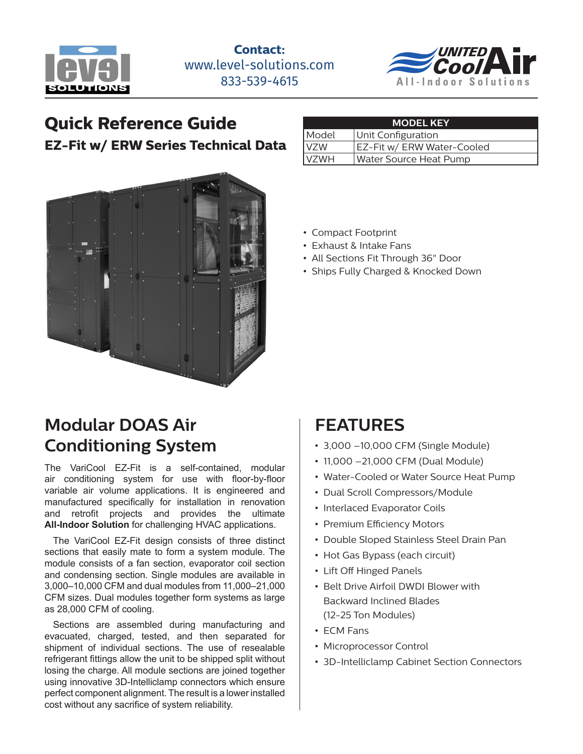



## **Quick Reference Guide**

**EZ-Fit w/ ERW Series Technical Data**



### **Modular DOAS Air Conditioning System**

The VariCool EZ-Fit is a self-contained, modular air conditioning system for use with floor-by-floor variable air volume applications. It is engineered and manufactured specifically for installation in renovation and retrofit projects and provides the ultimate **All-Indoor Solution** for challenging HVAC applications.

The VariCool EZ-Fit design consists of three distinct sections that easily mate to form a system module. The module consists of a fan section, evaporator coil section and condensing section. Single modules are available in 3,000–10,000 CFM and dual modules from 11,000–21,000 CFM sizes. Dual modules together form systems as large as 28,000 CFM of cooling.

Sections are assembled during manufacturing and evacuated, charged, tested, and then separated for shipment of individual sections. The use of resealable refrigerant fittings allow the unit to be shipped split without losing the charge. All module sections are joined together using innovative 3D-Intelliclamp connectors which ensure perfect component alignment. The result is a lower installed cost without any sacrifice of system reliability.

| <b>MODEL KEY</b> |                            |  |  |  |  |  |  |
|------------------|----------------------------|--|--|--|--|--|--|
| Model            | Unit Configuration         |  |  |  |  |  |  |
| <b>VZW</b>       | EZ-Fit w/ ERW Water-Cooled |  |  |  |  |  |  |
| <b>VZWH</b>      | Water Source Heat Pump     |  |  |  |  |  |  |

- Compact Footprint
- Exhaust & Intake Fans
- All Sections Fit Through 36" Door
- Ships Fully Charged & Knocked Down

### **FEATURES**

- 3,000 –10,000 CFM (Single Module)
- 11,000 –21,000 CFM (Dual Module)
- Water-Cooled or Water Source Heat Pump
- Dual Scroll Compressors/Module
- Interlaced Evaporator Coils
- Premium Efficiency Motors
- Double Sloped Stainless Steel Drain Pan
- Hot Gas Bypass (each circuit)
- Lift Off Hinged Panels
- Belt Drive Airfoil DWDI Blower with Backward Inclined Blades (12-25 Ton Modules)
- ECM Fans
- Microprocessor Control
- 3D-Intelliclamp Cabinet Section Connectors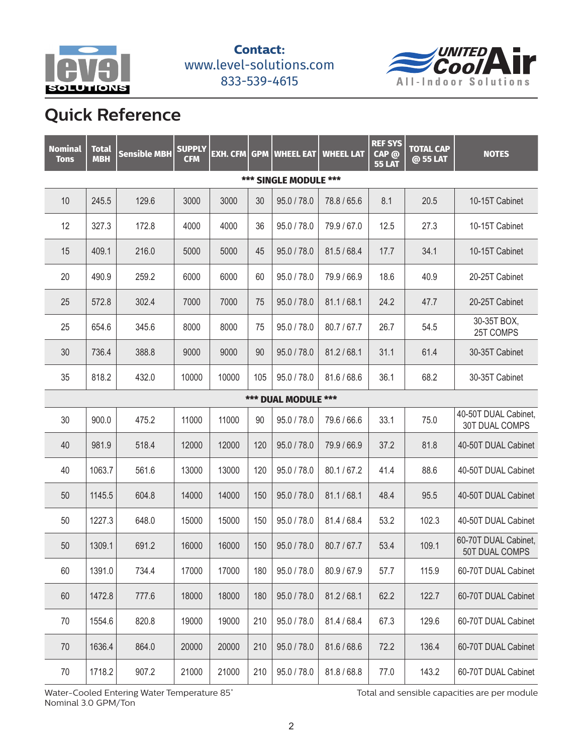



# **Quick Reference**

| <b>Nominal</b><br><b>Tons</b> | <b>Total</b><br><b>MBH</b> | <b>Sensible MBH</b> | <b>SUPPLY</b><br><b>CFM</b> | <b>EXH. CFM</b> | <b>GPM</b> | <b>WHEEL EAT</b> | <b>WHEEL LAT</b> | <b>REF SYS</b><br>CAP @<br><b>55 LAT</b> | <b>TOTAL CAP</b><br>@ 55 LAT | <b>NOTES</b>                           |  |
|-------------------------------|----------------------------|---------------------|-----------------------------|-----------------|------------|------------------|------------------|------------------------------------------|------------------------------|----------------------------------------|--|
| *** SINGLE MODULE ***         |                            |                     |                             |                 |            |                  |                  |                                          |                              |                                        |  |
| 10                            | 245.5                      | 129.6               | 3000                        | 3000            | 30         | 95.0 / 78.0      | 78.8 / 65.6      | 8.1                                      | 20.5                         | 10-15T Cabinet                         |  |
| 12                            | 327.3                      | 172.8               | 4000                        | 4000            | 36         | 95.0 / 78.0      | 79.9 / 67.0      | 12.5                                     | 27.3                         | 10-15T Cabinet                         |  |
| 15                            | 409.1                      | 216.0               | 5000                        | 5000            | 45         | 95.0 / 78.0      | 81.5/68.4        | 17.7                                     | 34.1                         | 10-15T Cabinet                         |  |
| 20                            | 490.9                      | 259.2               | 6000                        | 6000            | 60         | 95.0 / 78.0      | 79.9 / 66.9      | 18.6                                     | 40.9                         | 20-25T Cabinet                         |  |
| 25                            | 572.8                      | 302.4               | 7000                        | 7000            | 75         | 95.0 / 78.0      | 81.1 / 68.1      | 24.2                                     | 47.7                         | 20-25T Cabinet                         |  |
| 25                            | 654.6                      | 345.6               | 8000                        | 8000            | 75         | 95.0 / 78.0      | 80.7/67.7        | 26.7                                     | 54.5                         | 30-35T BOX,<br>25T COMPS               |  |
| 30                            | 736.4                      | 388.8               | 9000                        | 9000            | 90         | 95.0 / 78.0      | 81.2 / 68.1      | 31.1                                     | 61.4                         | 30-35T Cabinet                         |  |
| 35                            | 818.2                      | 432.0               | 10000                       | 10000           | 105        | 95.0 / 78.0      | 81.6/68.6        | 36.1                                     | 68.2                         | 30-35T Cabinet                         |  |
| *** DUAL MODULE ***           |                            |                     |                             |                 |            |                  |                  |                                          |                              |                                        |  |
| 30                            | 900.0                      | 475.2               | 11000                       | 11000           | 90         | 95.0 / 78.0      | 79.6 / 66.6      | 33.1                                     | 75.0                         | 40-50T DUAL Cabinet,<br>30T DUAL COMPS |  |
| 40                            | 981.9                      | 518.4               | 12000                       | 12000           | 120        | 95.0 / 78.0      | 79.9 / 66.9      | 37.2                                     | 81.8                         | 40-50T DUAL Cabinet                    |  |
| 40                            | 1063.7                     | 561.6               | 13000                       | 13000           | 120        | 95.0 / 78.0      | 80.1/67.2        | 41.4                                     | 88.6                         | 40-50T DUAL Cabinet                    |  |
| 50                            | 1145.5                     | 604.8               | 14000                       | 14000           | 150        | 95.0 / 78.0      | 81.1 / 68.1      | 48.4                                     | 95.5                         | 40-50T DUAL Cabinet                    |  |
| 50                            | 1227.3                     | 648.0               | 15000                       | 15000           | 150        | 95.0 / 78.0      | 81.4 / 68.4      | 53.2                                     | 102.3                        | 40-50T DUAL Cabinet                    |  |
| 50                            | 1309.1                     | 691.2               | 16000                       | 16000           | 150        | 95.0 / 78.0      | 80.7/67.7        | 53.4                                     | 109.1                        | 60-70T DUAL Cabinet,<br>50T DUAL COMPS |  |
| 60                            | 1391.0                     | 734.4               | 17000                       | 17000           | 180        | 95.0 / 78.0      | 80.9 / 67.9      | 57.7                                     | 115.9                        | 60-70T DUAL Cabinet                    |  |
| 60                            | 1472.8                     | 777.6               | 18000                       | 18000           | 180        | 95.0 / 78.0      | 81.2 / 68.1      | 62.2                                     | 122.7                        | 60-70T DUAL Cabinet                    |  |
| 70                            | 1554.6                     | 820.8               | 19000                       | 19000           | 210        | 95.0 / 78.0      | 81.4 / 68.4      | 67.3                                     | 129.6                        | 60-70T DUAL Cabinet                    |  |
| 70                            | 1636.4                     | 864.0               | 20000                       | 20000           | 210        | 95.0 / 78.0      | 81.6 / 68.6      | 72.2                                     | 136.4                        | 60-70T DUAL Cabinet                    |  |
| 70                            | 1718.2                     | 907.2               | 21000                       | 21000           | 210        | 95.0 / 78.0      | 81.8 / 68.8      | 77.0                                     | 143.2                        | 60-70T DUAL Cabinet                    |  |

Water-Cooled Entering Water Temperature 85° and the state of the Total and sensible capacities are per module Nominal 3.0 GPM/Ton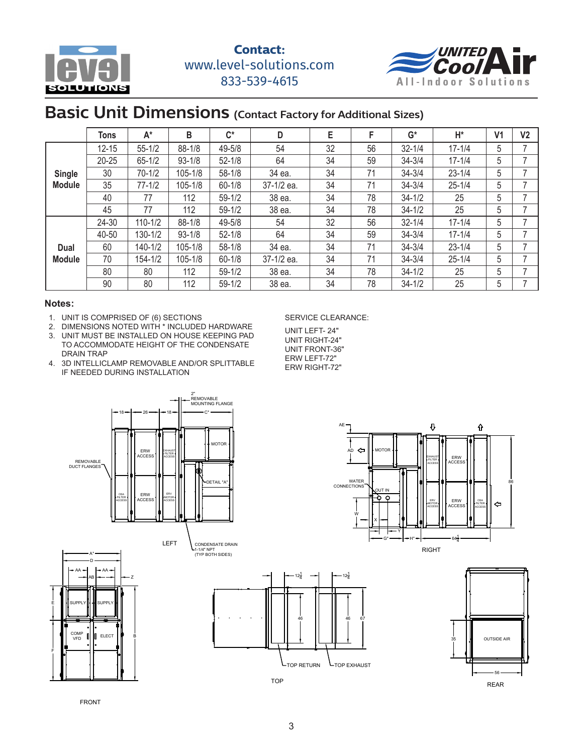



#### **Basic Unit Dimensions (Contact Factory for Additional Sizes)**

|                                | Tons      | $A^*$       | B          | $\mathsf{C}^\star$ | D          | E  | F  | $G^*$      | H*         | V <sub>1</sub> | V <sub>2</sub> |
|--------------------------------|-----------|-------------|------------|--------------------|------------|----|----|------------|------------|----------------|----------------|
| <b>Single</b><br><b>Module</b> | $12 - 15$ | $55 - 1/2$  | $88 - 1/8$ | 49-5/8             | 54         | 32 | 56 | $32 - 1/4$ | $17 - 1/4$ | 5              |                |
|                                | 20-25     | $65 - 1/2$  | $93 - 1/8$ | $52 - 1/8$         | 64         | 34 | 59 | $34 - 3/4$ | $17 - 1/4$ | 5              |                |
|                                | 30        | $70 - 1/2$  | 105-1/8    | $58 - 1/8$         | 34 ea.     | 34 | 71 | $34 - 3/4$ | $23 - 1/4$ | 5              |                |
|                                | 35        | $77 - 1/2$  | 105-1/8    | $60 - 1/8$         | 37-1/2 ea. | 34 | 71 | $34 - 3/4$ | $25 - 1/4$ | 5              |                |
|                                | 40        | 77          | 112        | $59 - 1/2$         | 38 ea.     | 34 | 78 | $34 - 1/2$ | 25         | 5              |                |
|                                | 45        | 77          | 112        | $59 - 1/2$         | 38 ea.     | 34 | 78 | $34 - 1/2$ | 25         | 5              |                |
| Dual<br><b>Module</b>          | 24-30     | $110 - 1/2$ | $88 - 1/8$ | 49-5/8             | 54         | 32 | 56 | $32 - 1/4$ | $17 - 1/4$ | 5              |                |
|                                | 40-50     | 130-1/2     | $93 - 1/8$ | $52 - 1/8$         | 64         | 34 | 59 | $34 - 3/4$ | $17 - 1/4$ | 5              |                |
|                                | 60        | 140-1/2     | 105-1/8    | $58 - 1/8$         | 34 ea.     | 34 | 71 | $34 - 3/4$ | $23 - 1/4$ | 5              |                |
|                                | 70        | $154 - 1/2$ | 105-1/8    | $60 - 1/8$         | 37-1/2 ea. | 34 | 71 | $34 - 3/4$ | $25 - 1/4$ | 5              |                |
|                                | 80        | 80          | 112        | $59-1/2$           | 38 ea.     | 34 | 78 | $34 - 1/2$ | 25         | 5              |                |
|                                | 90        | 80          | 112        | $59 - 1/2$         | 38 ea.     | 34 | 78 | $34 - 1/2$ | 25         | 5              |                |

#### **Notes:**

- 1. UNIT IS COMPRISED OF (6) SECTIONS
- 2. DIMENSIONS NOTED WITH \* INCLUDED HARDWARE
- 3. UNIT MUST BE INSTALLED ON HOUSE KEEPING PAD TO ACCOMMODATE HEIGHT OF THE CONDENSATE DRAIN TRAP
- 4. 3D INTELLICLAMP REMOVABLE AND/OR SPLITTABLE IF NEEDED DURING INSTALLATION

#### SERVICE CLEARANCE:

UNIT LEFT- 24" UNIT RIGHT-24" UNIT FRONT-36" ERW LEFT-72" ERW RIGHT-72"





67

46

 $12\frac{1}{4}$ 

**L**TOP EXHAUST



FRONT

TOP RETURN

46

 $12\frac{1}{4}$ 

TOP